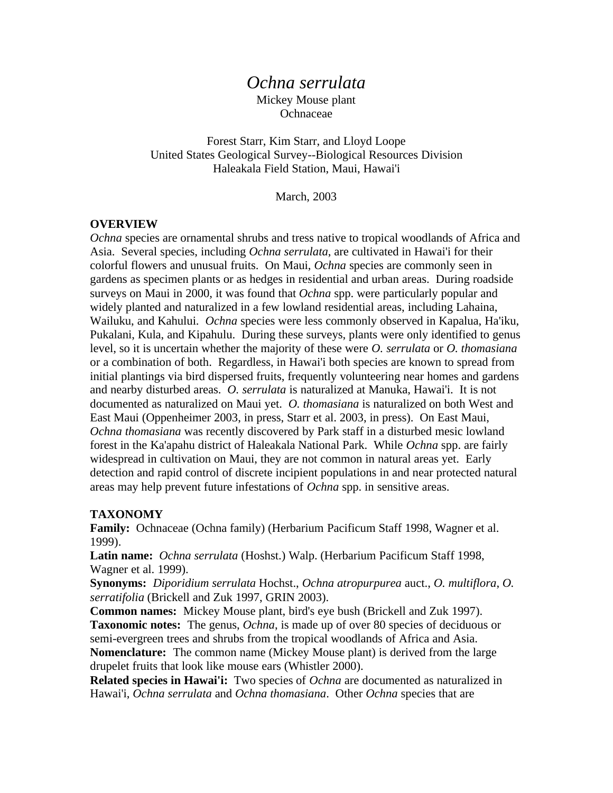# *Ochna serrulata*

Mickey Mouse plant **Ochnaceae** 

Forest Starr, Kim Starr, and Lloyd Loope United States Geological Survey--Biological Resources Division Haleakala Field Station, Maui, Hawai'i

March, 2003

#### **OVERVIEW**

*Ochna* species are ornamental shrubs and tress native to tropical woodlands of Africa and Asia. Several species, including *Ochna serrulata*, are cultivated in Hawai'i for their colorful flowers and unusual fruits. On Maui, *Ochna* species are commonly seen in gardens as specimen plants or as hedges in residential and urban areas. During roadside surveys on Maui in 2000, it was found that *Ochna* spp. were particularly popular and widely planted and naturalized in a few lowland residential areas, including Lahaina, Wailuku, and Kahului. *Ochna* species were less commonly observed in Kapalua, Ha'iku, Pukalani, Kula, and Kipahulu. During these surveys, plants were only identified to genus level, so it is uncertain whether the majority of these were *O. serrulata* or *O. thomasiana* or a combination of both. Regardless, in Hawai'i both species are known to spread from initial plantings via bird dispersed fruits, frequently volunteering near homes and gardens and nearby disturbed areas. *O. serrulata* is naturalized at Manuka, Hawai'i. It is not documented as naturalized on Maui yet. *O. thomasiana* is naturalized on both West and East Maui (Oppenheimer 2003, in press, Starr et al. 2003, in press). On East Maui, *Ochna thomasiana* was recently discovered by Park staff in a disturbed mesic lowland forest in the Ka'apahu district of Haleakala National Park. While *Ochna* spp. are fairly widespread in cultivation on Maui, they are not common in natural areas yet. Early detection and rapid control of discrete incipient populations in and near protected natural areas may help prevent future infestations of *Ochna* spp. in sensitive areas.

#### **TAXONOMY**

**Family:** Ochnaceae (Ochna family) (Herbarium Pacificum Staff 1998, Wagner et al. 1999).

**Latin name:** *Ochna serrulata* (Hoshst.) Walp. (Herbarium Pacificum Staff 1998, Wagner et al. 1999).

**Synonyms:** *Diporidium serrulata* Hochst., *Ochna atropurpurea* auct., *O. multiflora*, *O. serratifolia* (Brickell and Zuk 1997, GRIN 2003).

**Common names:** Mickey Mouse plant, bird's eye bush (Brickell and Zuk 1997). **Taxonomic notes:** The genus, *Ochna*, is made up of over 80 species of deciduous or semi-evergreen trees and shrubs from the tropical woodlands of Africa and Asia. **Nomenclature:** The common name (Mickey Mouse plant) is derived from the large drupelet fruits that look like mouse ears (Whistler 2000).

**Related species in Hawai'i:** Two species of *Ochna* are documented as naturalized in Hawai'i, *Ochna serrulata* and *Ochna thomasiana*. Other *Ochna* species that are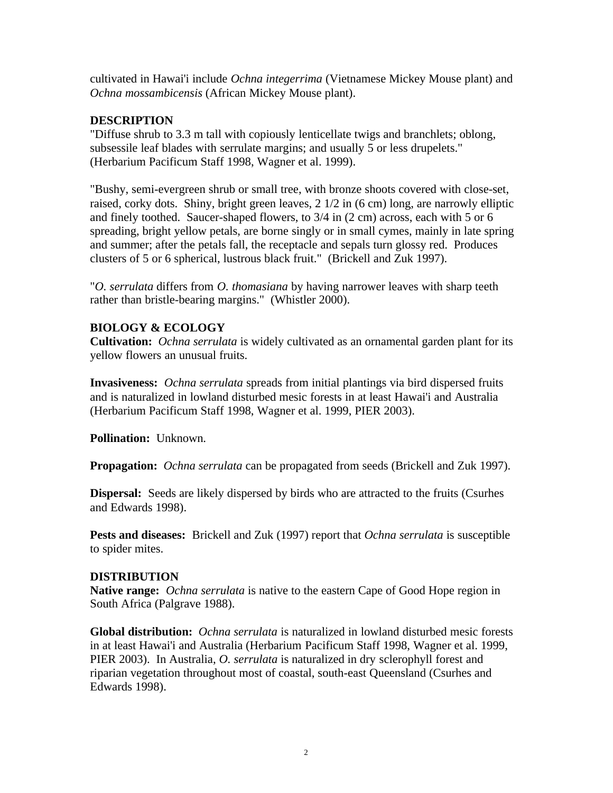cultivated in Hawai'i include *Ochna integerrima* (Vietnamese Mickey Mouse plant) and *Ochna mossambicensis* (African Mickey Mouse plant).

### **DESCRIPTION**

"Diffuse shrub to 3.3 m tall with copiously lenticellate twigs and branchlets; oblong, subsessile leaf blades with serrulate margins; and usually 5 or less drupelets." (Herbarium Pacificum Staff 1998, Wagner et al. 1999).

"Bushy, semi-evergreen shrub or small tree, with bronze shoots covered with close-set, raised, corky dots. Shiny, bright green leaves, 2 1/2 in (6 cm) long, are narrowly elliptic and finely toothed. Saucer-shaped flowers, to 3/4 in (2 cm) across, each with 5 or 6 spreading, bright yellow petals, are borne singly or in small cymes, mainly in late spring and summer; after the petals fall, the receptacle and sepals turn glossy red. Produces clusters of 5 or 6 spherical, lustrous black fruit." (Brickell and Zuk 1997).

"*O. serrulata* differs from *O. thomasiana* by having narrower leaves with sharp teeth rather than bristle-bearing margins." (Whistler 2000).

# **BIOLOGY & ECOLOGY**

**Cultivation:** *Ochna serrulata* is widely cultivated as an ornamental garden plant for its yellow flowers an unusual fruits.

**Invasiveness:** *Ochna serrulata* spreads from initial plantings via bird dispersed fruits and is naturalized in lowland disturbed mesic forests in at least Hawai'i and Australia (Herbarium Pacificum Staff 1998, Wagner et al. 1999, PIER 2003).

**Pollination:** Unknown.

**Propagation:** *Ochna serrulata* can be propagated from seeds (Brickell and Zuk 1997).

**Dispersal:** Seeds are likely dispersed by birds who are attracted to the fruits (Csurhes and Edwards 1998).

**Pests and diseases:** Brickell and Zuk (1997) report that *Ochna serrulata* is susceptible to spider mites.

# **DISTRIBUTION**

**Native range:** *Ochna serrulata* is native to the eastern Cape of Good Hope region in South Africa (Palgrave 1988).

**Global distribution:** *Ochna serrulata* is naturalized in lowland disturbed mesic forests in at least Hawai'i and Australia (Herbarium Pacificum Staff 1998, Wagner et al. 1999, PIER 2003). In Australia, *O. serrulata* is naturalized in dry sclerophyll forest and riparian vegetation throughout most of coastal, south-east Queensland (Csurhes and Edwards 1998).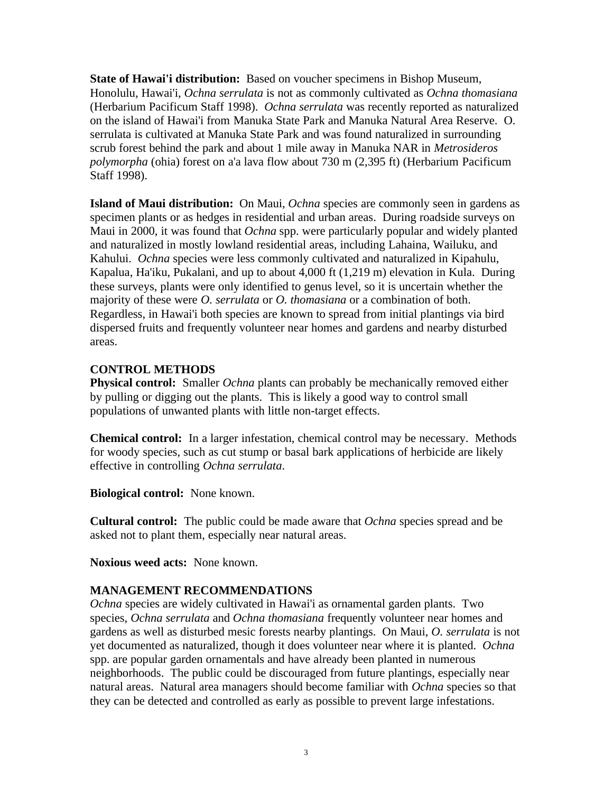**State of Hawai'i distribution:** Based on voucher specimens in Bishop Museum, Honolulu, Hawai'i, *Ochna serrulata* is not as commonly cultivated as *Ochna thomasiana* (Herbarium Pacificum Staff 1998). *Ochna serrulata* was recently reported as naturalized on the island of Hawai'i from Manuka State Park and Manuka Natural Area Reserve. O. serrulata is cultivated at Manuka State Park and was found naturalized in surrounding scrub forest behind the park and about 1 mile away in Manuka NAR in *Metrosideros polymorpha* (ohia) forest on a'a lava flow about 730 m (2,395 ft) (Herbarium Pacificum Staff 1998).

**Island of Maui distribution:** On Maui, *Ochna* species are commonly seen in gardens as specimen plants or as hedges in residential and urban areas. During roadside surveys on Maui in 2000, it was found that *Ochna* spp. were particularly popular and widely planted and naturalized in mostly lowland residential areas, including Lahaina, Wailuku, and Kahului. *Ochna* species were less commonly cultivated and naturalized in Kipahulu, Kapalua, Ha'iku, Pukalani, and up to about 4,000 ft (1,219 m) elevation in Kula. During these surveys, plants were only identified to genus level, so it is uncertain whether the majority of these were *O. serrulata* or *O. thomasiana* or a combination of both. Regardless, in Hawai'i both species are known to spread from initial plantings via bird dispersed fruits and frequently volunteer near homes and gardens and nearby disturbed areas.

#### **CONTROL METHODS**

**Physical control:** Smaller *Ochna* plants can probably be mechanically removed either by pulling or digging out the plants. This is likely a good way to control small populations of unwanted plants with little non-target effects.

**Chemical control:** In a larger infestation, chemical control may be necessary. Methods for woody species, such as cut stump or basal bark applications of herbicide are likely effective in controlling *Ochna serrulata*.

**Biological control:** None known.

**Cultural control:** The public could be made aware that *Ochna* species spread and be asked not to plant them, especially near natural areas.

**Noxious weed acts:** None known.

# **MANAGEMENT RECOMMENDATIONS**

*Ochna* species are widely cultivated in Hawai'i as ornamental garden plants. Two species, *Ochna serrulata* and *Ochna thomasiana* frequently volunteer near homes and gardens as well as disturbed mesic forests nearby plantings. On Maui, *O. serrulata* is not yet documented as naturalized, though it does volunteer near where it is planted. *Ochna* spp. are popular garden ornamentals and have already been planted in numerous neighborhoods. The public could be discouraged from future plantings, especially near natural areas. Natural area managers should become familiar with *Ochna* species so that they can be detected and controlled as early as possible to prevent large infestations.